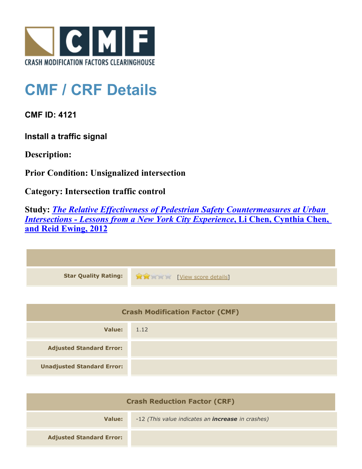

## **CMF / CRF Details**

**CMF ID: 4121**

**Install a traffic signal**

**Description:** 

**Prior Condition: Unsignalized intersection**

**Category: Intersection traffic control**

**Study:** *[The Relative Effectiveness of Pedestrian Safety Countermeasures at Urban](http://www.cmfclearinghouse.org/study_detail.cfm?stid=280) [Intersections - Lessons from a New York City Experience](http://www.cmfclearinghouse.org/study_detail.cfm?stid=280)***[, Li Chen, Cynthia Chen,](http://www.cmfclearinghouse.org/study_detail.cfm?stid=280) [and Reid Ewing, 2012](http://www.cmfclearinghouse.org/study_detail.cfm?stid=280)**

| Star Quality Rating: 1999 [View score details] |
|------------------------------------------------|

| <b>Crash Modification Factor (CMF)</b> |      |
|----------------------------------------|------|
| Value:                                 | 1.12 |
| <b>Adjusted Standard Error:</b>        |      |
| <b>Unadjusted Standard Error:</b>      |      |

| <b>Crash Reduction Factor (CRF)</b> |                                                          |
|-------------------------------------|----------------------------------------------------------|
| Value:                              | -12 (This value indicates an <b>increase</b> in crashes) |
| <b>Adjusted Standard Error:</b>     |                                                          |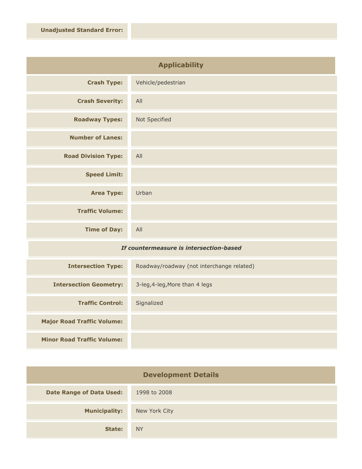| <b>Applicability</b>       |                    |
|----------------------------|--------------------|
| <b>Crash Type:</b>         | Vehicle/pedestrian |
| <b>Crash Severity:</b>     | All                |
| <b>Roadway Types:</b>      | Not Specified      |
| <b>Number of Lanes:</b>    |                    |
| <b>Road Division Type:</b> | All                |
| <b>Speed Limit:</b>        |                    |
| <b>Area Type:</b>          | Urban              |
| <b>Traffic Volume:</b>     |                    |
| <b>Time of Day:</b>        | All                |

## *If countermeasure is intersection-based*

| <b>Intersection Type:</b>         | Roadway/roadway (not interchange related) |
|-----------------------------------|-------------------------------------------|
| <b>Intersection Geometry:</b>     | 3-leg, 4-leg, More than 4 legs            |
| <b>Traffic Control:</b>           | Signalized                                |
| <b>Major Road Traffic Volume:</b> |                                           |
| <b>Minor Road Traffic Volume:</b> |                                           |

| <b>Development Details</b>      |               |
|---------------------------------|---------------|
| <b>Date Range of Data Used:</b> | 1998 to 2008  |
| <b>Municipality:</b>            | New York City |
| State:                          | <b>NY</b>     |